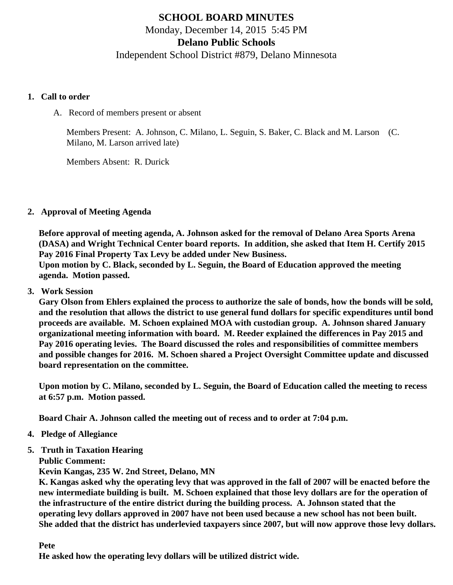# SCHOOL BOARD MINUTES Monday, December 14, 2015 5:45 PM Delano Public Schools Independent School District #879, Delano Minnesota

- 1. Call to order
	- A. Record of members present or absent

Members Present: A. Johnson, C. Milano, L. Seguin, S. Baker, C. Black and M. Larson (C. Milano, M. Larson arrived late)

Members Absent: R. Durick

#### 2. Approval of Meeting Agenda

Before approval of meeting agenda, A. Johnson asked for the removal of Delano Area Sports Arena (DASA) and Wright Technical Center board reports. In addition, she asked that Item H. Certify 2015 Pay 2016 Final Property Tax Levy be added under New Business. Upon motion by C. Black, seconded by L. Seguin, the Board of Education approved the meeting agenda. Motion passed.

3. Work Session

Gary Olson from Ehlers explained the process to authorize the sale of bonds, how the bonds will be sold, and the resolution that allows the district to use general fund dollars for specific expenditures until bond proceeds are available. M. Schoen explained MOA with custodian group. A. Johnson shared January organizational meeting information with board. M. Reeder explained the differences in Pay 2015 and Pay 2016 operating levies. The Board discussed the roles and responsibilities of committee members and possible changes for 2016. M. Schoen shared a Project Oversight Committee update and discussed board representation on the committee.

Upon motion by C. Milano, seconded by L. Seguin, the Board of Education called the meeting to recess at 6:57 p.m. Motion passed.

Board Chair A. Johnson called the meeting out of recess and to order at 7:04 p.m.

- 4. Pledge of Allegiance
- 5. [Truth in Taxation Hearing](/docs/district/Business_Office/Truth_in_Taxation_Dec_15.pdf)

Public Comment:

Kevin Kangas, 235 W. 2nd Street, Delano, MN

K. Kangas asked why the operating levy that was approved in the fall of 2007 will be enacted before the new intermediate building is built. M. Schoen explained that those levy dollars are for the operation of the infrastructure of the entire district during the building process. A. Johnson stated that the operating levy dollars approved in 2007 have not been used because a new school has not been built. She added that the district has underlevied taxpayers since 2007, but will now approve those levy dollars.

Pete

He asked how the operating levy dollars will be utilized district wide.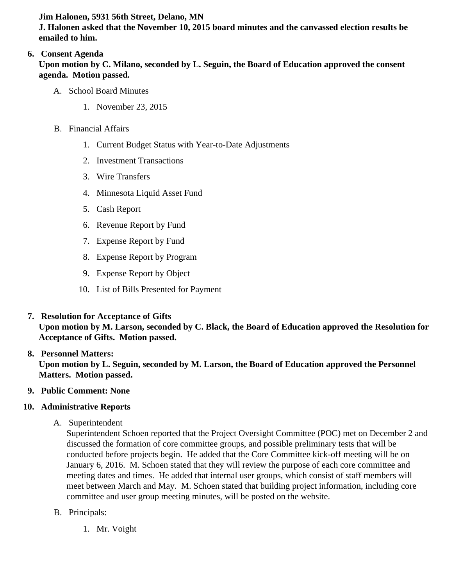Jim Halonen, 5931 56th Street, Delano, MN

J. Halonen asked that the November 10, 2015 board minutes and the canvassed election results be emailed to him.

## 6. Consent Agenda

Upon motion by C. Milano, seconded by L. Seguin, the Board of Education approved the consent agenda. Motion passed.

- A. School Board Minutes
	- 1. [November 23, 201](/docs/district/District_Forms/School_Board_Minutes_11.23.15.pdf)5
- B. Financial Affairs
	- 1. [Current Budget Status with Year-to-Date Adjustm](/docs/district/Business_Office/Budget_Report_Dec_2015.pdf)ents
	- 2. [Investment Transactio](/docs/district/Business_Office/Investment_schedule_15-16.pdf  )ns
	- 3. [Wire Transfer](/docs/district/Business_Office/Wire_Transfer.pdf  )s
	- 4. [Minnesota Liquid Asset Fun](/docs/district/Business_Office/Liquid_Asset_Fund_FY16.pdf  )d
	- 5. [Cash Repo](/docs/district/Business_Office/Cash_Report.pdf)rt

Acceptance of Gifts. Motion passed.

- 6. [Revenue Report by Fu](/docs/district/Business_Office/SCHOOL_BOARD_REPORTS_-_REVENUE_BY_FUND_TOTAL__(Date__6_2016).pdf)nd
- 7. [Expense Report by Fu](/docs/district/Business_Office/SCHOOL_BOARD_REPORTS_-_EXP_BY_FUND_TOTAL__(Date__6_2016).pdf)nd
- 8. [Expense Report by Progra](/docs/district/Business_Office/SCHOOL_BOARD_REPORTS_-_EXPENDITURES_BY_PROGRAM__(Date__6_2016).pdf)m
- 9. [Expense Report by Obje](/docs/district/Business_Office/SCHOOL_BOARD_REPORTS_-_EXPENDITURES_BY_OBJECT__(Date__6_2016).pdf)ct
- 10. [List of Bills Presented for Payme](/docs/district/Business_Office/DETAIL_OF_MONTHLY_BILLS_PRESENTED_FOR_PAYMENT_(Dates__09_01_15_-_12_09_15).pdf)nt
- 7. [Resolution for Acceptance of Gifts](/docs/district/Business_Office/Resolution_for_Acceptance_of_Gifts_12.14.15.pdf) Upon motion by M. Larson, seconded by C. Black, the Board of Education approved the Resolution for

# 8. [Personnel Matters:](/docs/district/Business_Office/12.14.15_Personnel_Items.pdf)

Upon motion by L. Seguin, seconded by M. Larson, the Board of Education approved the Personnel Matters. Motion passed.

- 9. Public Comment: None
- 10. Administrative Reports
	- A. Superintendent

Superintendent Schoen reported that the Project Oversight Committee (POC) met on December 2 discussed the formation of core committee groups, and possible preliminary tests that will be conducted before projects begin. He added that the Core Committee kick-off meeting will be on January 6, 2016. M. Schoen stated that they will review the purpose of each core committee and meeting dates and times. He added that internal user groups, which consist of staff members will meet between March and May. M. Schoen stated that building project information, including core committee and user group meeting minutes, will be posted on the website.

- B. Principals:
	- 1. Mr. Voight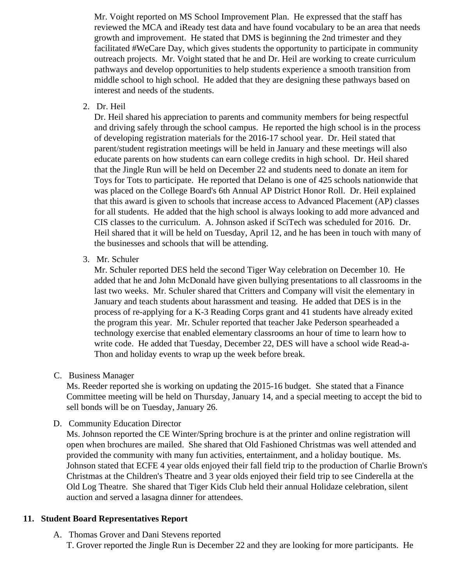Mr. Voight reported on MS School Improvement Plan. He expressed that the staff has reviewed the MCA and iReady test data and have found vocabulary to be an area that needs growth and improvement. He stated that DMS is beginning the 2nd trimester and they facilitated #WeCare Day, which gives students the opportunity to participate in community outreach projects. Mr. Voight stated that he and Dr. Heil are working to create curriculum pathways and develop opportunities to help students experience a smooth transition from middle school to high school. He added that they are designing these pathways based on interest and needs of the students.

2. Dr. Heil

Dr. Heil shared his appreciation to parents and community members for being respectful and driving safely through the school campus. He reported the high school is in the process of developing registration materials for the 2016-17 school year. Dr. Heil stated that parent/student registration meetings will be held in January and these meetings will also educate parents on how students can earn college credits in high school. Dr. Heil shared that the Jingle Run will be held on December 22 and students need to donate an item for Toys for Tots to participate. He reported that Delano is one of 425 schools nationwide that was placed on the College Board's 6th Annual AP District Honor Roll. Dr. Heil explained that this award is given to schools that increase access to Advanced Placement (AP) classes for all students. He added that the high school is always looking to add more advanced and CIS classes to the curriculum. A. Johnson asked if SciTech was scheduled for 2016. Dr. Heil shared that it will be held on Tuesday, April 12, and he has been in touch with many of the businesses and schools that will be attending.

3. Mr. Schuler

Mr. Schuler reported DES held the second Tiger Way celebration on December 10. He added that he and John McDonald have given bullying presentations to all classrooms in the last two weeks. Mr. Schuler shared that Critters and Company will visit the elementary in January and teach students about harassment and teasing. He added that DES is in the process of re-applying for a K-3 Reading Corps grant and 41 students have already exited the program this year. Mr. Schuler reported that teacher Jake Pederson spearheaded a technology exercise that enabled elementary classrooms an hour of time to learn how to write code. He added that Tuesday, December 22, DES will have a school wide Read-a-Thon and holiday events to wrap up the week before break.

C. Business Manager

Ms. Reeder reported she is working on updating the 2015-16 budget. She stated that a Finance Committee meeting will be held on Thursday, January 14, and a special meeting to accept the bid to sell bonds will be on Tuesday, January 26.

D. Community Education Director

Ms. Johnson reported the CE Winter/Spring brochure is at the printer and online registration will open when brochures are mailed. She shared that Old Fashioned Christmas was well attended and provided the community with many fun activities, entertainment, and a holiday boutique. Ms. Johnson stated that ECFE 4 year olds enjoyed their fall field trip to the production of Charlie Brown's Christmas at the Children's Theatre and 3 year olds enjoyed their field trip to see Cinderella at the Old Log Theatre. She shared that Tiger Kids Club held their annual Holidaze celebration, silent auction and served a lasagna dinner for attendees.

#### **11. Student Board Representatives Report**

A. Thomas Grover and Dani Stevens reported T. Grover reported the Jingle Run is December 22 and they are looking for more participants. He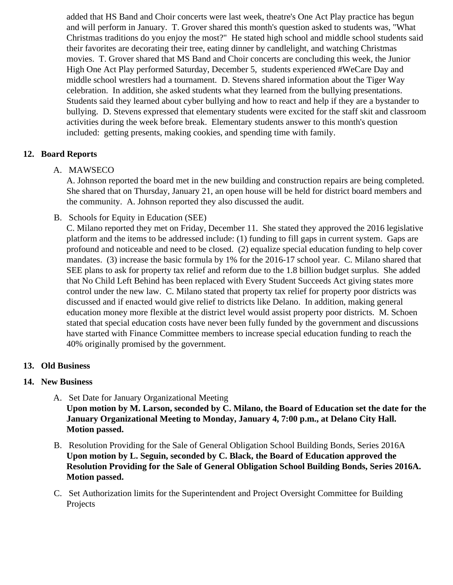added that HS Band and Choir concerts were last week, theatre's One Act Play practice has begun and will perform in January. T. Grover shared this month's question asked to students was, "What Christmas traditions do you enjoy the most?" He stated high school and middle school students said their favorites are decorating their tree, eating dinner by candlelight, and watching Christmas movies. T. Grover shared that MS Band and Choir concerts are concluding this week, the Junior High One Act Play performed Saturday, December 5, students experienced #WeCare Day and middle school wrestlers had a tournament. D. Stevens shared information about the Tiger Way celebration. In addition, she asked students what they learned from the bullying presentations. Students said they learned about cyber bullying and how to react and help if they are a bystander t bullying. D. Stevens expressed that elementary students were excited for the staff skit and classro activities during the week before break. Elementary students answer to this month's question included: getting presents, making cookies, and spending time with family.

## 12. Board Reports

#### A. MAWSECO

A. Johnson reported the board met in the new building and construction repairs are being complete She shared that on Thursday, January 21, an open house will be held for district board members a the community. A. Johnson reported they also discussed the audit.

B. Schools for Equity in Education (SEE)

C. Milano reported they met on Friday, December 11. She stated they approved the 2016 legislating platform and the items to be addressed include: (1) funding to fill gaps in current system. Gaps are profound and noticeable and need to be closed. (2) equalize special education funding to help cover mandates. (3) increase the basic formula by 1% for the 2016-17 school year. C. Milano shared th SEE plans to ask for property tax relief and reform due to the 1.8 billion budget surplus. She addee that No Child Left Behind has been replaced with Every Student Succeeds Act giving states more control under the new law. C. Milano stated that property tax relief for property poor districts was discussed and if enacted would give relief to districts like Delano. In addition, making general education money more flexible at the district level would assist property poor districts. M. Schoen stated that special education costs have never been fully funded by the government and discussions have started with Finance Committee members to increase special education funding to reach the 40% originally promised by the government.

- 13. Old Business
- 14. New Business
	- A. Set Date for January Organizational Meeting Upon motion by M. Larson, seconded by C. Milano, the Board of Education set the date for the January Organizational Meeting to Monday, January 4, 7:00 p.m., at Delano City Hall. Motion passed.
	- B. [Resolution Providing for the Sale of General Obligation School Building Bonds, Series](/docs/district/Business_Office/Resolution_for_Sale_of_2016A_Bonds.pdf) 2016A Upon motion by L. Seguin, seconded by C. Black, the Board of Education approved the Resolution Providing for the Sale of General Obligation School Building Bonds, Series 2016A. Motion passed.
	- C. Set Authorization limits for the Superintendent and Project Oversight Committee for Building **Projects**